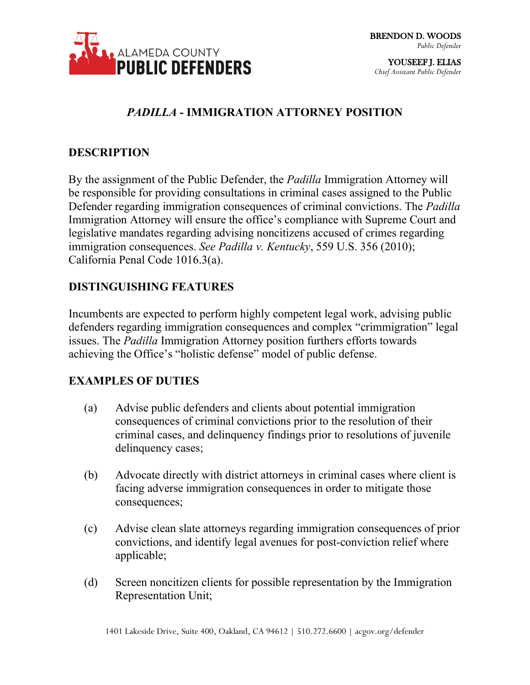

YOUSEEF J. ELIAS *Chief Assistant Public Defender*

## *PADILLA* **- IMMIGRATION ATTORNEY POSITION**

#### **DESCRIPTION**

By the assignment of the Public Defender, the *Padilla* Immigration Attorney will be responsible for providing consultations in criminal cases assigned to the Public Defender regarding immigration consequences of criminal convictions. The *Padilla* Immigration Attorney will ensure the office's compliance with Supreme Court and legislative mandates regarding advising noncitizens accused of crimes regarding immigration consequences. *See Padilla v. Kentucky*, 559 U.S. 356 (2010); California Penal Code 1016.3(a).

#### **DISTINGUISHING FEATURES**

Incumbents are expected to perform highly competent legal work, advising public defenders regarding immigration consequences and complex "crimmigration" legal issues. The *Padilla* Immigration Attorney position furthers efforts towards achieving the Office's "holistic defense" model of public defense.

#### **EXAMPLES OF DUTIES**

- (a) Advise public defenders and clients about potential immigration consequences of criminal convictions prior to the resolution of their criminal cases, and delinquency findings prior to resolutions of juvenile delinquency cases;
- (b) Advocate directly with district attorneys in criminal cases where client is facing adverse immigration consequences in order to mitigate those consequences;
- (c) Advise clean slate attorneys regarding immigration consequences of prior convictions, and identify legal avenues for post-conviction relief where applicable;
- (d) Screen noncitizen clients for possible representation by the Immigration Representation Unit;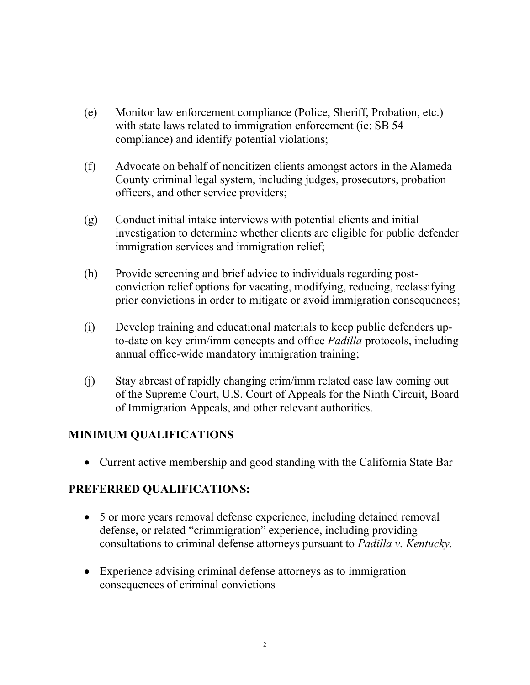- (e) Monitor law enforcement compliance (Police, Sheriff, Probation, etc.) with state laws related to immigration enforcement (ie: SB 54) compliance) and identify potential violations;
- (f) Advocate on behalf of noncitizen clients amongst actors in the Alameda County criminal legal system, including judges, prosecutors, probation officers, and other service providers;
- (g) Conduct initial intake interviews with potential clients and initial investigation to determine whether clients are eligible for public defender immigration services and immigration relief;
- (h) Provide screening and brief advice to individuals regarding postconviction relief options for vacating, modifying, reducing, reclassifying prior convictions in order to mitigate or avoid immigration consequences;
- (i) Develop training and educational materials to keep public defenders upto-date on key crim/imm concepts and office *Padilla* protocols, including annual office-wide mandatory immigration training;
- (j) Stay abreast of rapidly changing crim/imm related case law coming out of the Supreme Court, U.S. Court of Appeals for the Ninth Circuit, Board of Immigration Appeals, and other relevant authorities.

### **MINIMUM QUALIFICATIONS**

• Current active membership and good standing with the California State Bar

### **PREFERRED QUALIFICATIONS:**

- 5 or more years removal defense experience, including detained removal defense, or related "crimmigration" experience, including providing consultations to criminal defense attorneys pursuant to *Padilla v. Kentucky.*
- Experience advising criminal defense attorneys as to immigration consequences of criminal convictions